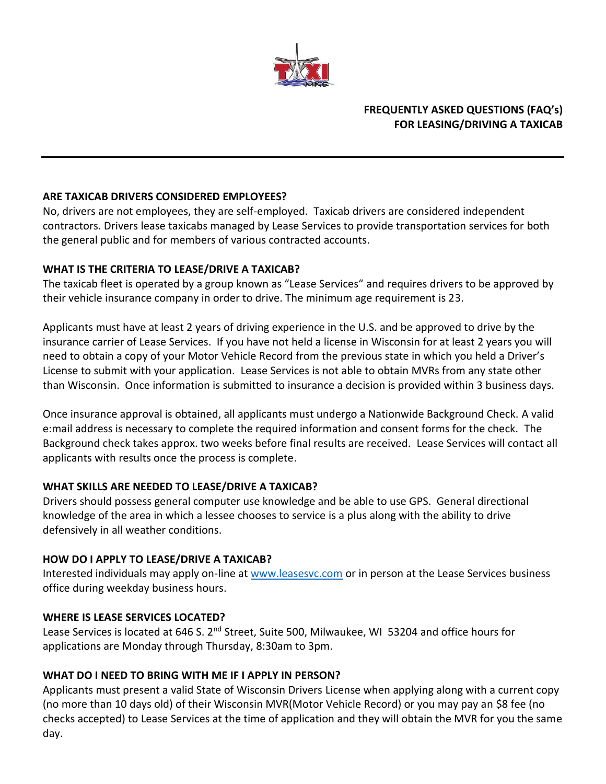

# **FREQUENTLY ASKED QUESTIONS (FAQ's) FOR LEASING/DRIVING A TAXICAB**

## **ARE TAXICAB DRIVERS CONSIDERED EMPLOYEES?**

No, drivers are not employees, they are self-employed. Taxicab drivers are considered independent contractors. Drivers lease taxicabs managed by Lease Services to provide transportation services for both the general public and for members of various contracted accounts.

## **WHAT IS THE CRITERIA TO LEASE/DRIVE A TAXICAB?**

The taxicab fleet is operated by a group known as "Lease Services" and requires drivers to be approved by their vehicle insurance company in order to drive. The minimum age requirement is 23.

Applicants must have at least 2 years of driving experience in the U.S. and be approved to drive by the insurance carrier of Lease Services. If you have not held a license in Wisconsin for at least 2 years you will need to obtain a copy of your Motor Vehicle Record from the previous state in which you held a Driver's License to submit with your application. Lease Services is not able to obtain MVRs from any state other than Wisconsin. Once information is submitted to insurance a decision is provided within 3 business days.

Once insurance approval is obtained, all applicants must undergo a Nationwide Background Check. A valid e:mail address is necessary to complete the required information and consent forms for the check. The Background check takes approx. two weeks before final results are received. Lease Services will contact all applicants with results once the process is complete.

## **WHAT SKILLS ARE NEEDED TO LEASE/DRIVE A TAXICAB?**

Drivers should possess general computer use knowledge and be able to use GPS. General directional knowledge of the area in which a lessee chooses to service is a plus along with the ability to drive defensively in all weather conditions.

## **HOW DO I APPLY TO LEASE/DRIVE A TAXICAB?**

Interested individuals may apply on-line at [www.leasesvc.com](http://www.leasesvc.com/) or in person at the Lease Services business office during weekday business hours.

## **WHERE IS LEASE SERVICES LOCATED?**

Lease Services is located at 646 S. 2<sup>nd</sup> Street, Suite 500, Milwaukee, WI 53204 and office hours for applications are Monday through Thursday, 8:30am to 3pm.

# **WHAT DO I NEED TO BRING WITH ME IF I APPLY IN PERSON?**

Applicants must present a valid State of Wisconsin Drivers License when applying along with a current copy (no more than 10 days old) of their Wisconsin MVR(Motor Vehicle Record) or you may pay an \$8 fee (no checks accepted) to Lease Services at the time of application and they will obtain the MVR for you the same day.